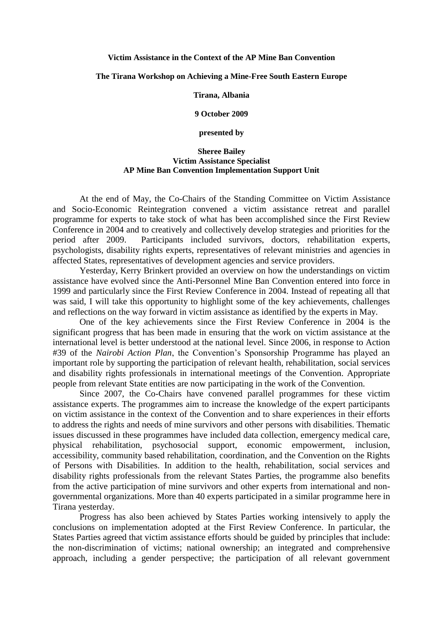## **Victim Assistance in the Context of the AP Mine Ban Convention**

## **The Tirana Workshop on Achieving a Mine-Free South Eastern Europe**

**Tirana, Albania**

**9 October 2009**

**presented by**

## **Sheree Bailey Victim Assistance Specialist AP Mine Ban Convention Implementation Support Unit**

At the end of May, the Co-Chairs of the Standing Committee on Victim Assistance and Socio-Economic Reintegration convened a victim assistance retreat and parallel programme for experts to take stock of what has been accomplished since the First Review Conference in 2004 and to creatively and collectively develop strategies and priorities for the period after 2009. Participants included survivors, doctors, rehabilitation experts, psychologists, disability rights experts, representatives of relevant ministries and agencies in affected States, representatives of development agencies and service providers.

Yesterday, Kerry Brinkert provided an overview on how the understandings on victim assistance have evolved since the Anti-Personnel Mine Ban Convention entered into force in 1999 and particularly since the First Review Conference in 2004. Instead of repeating all that was said, I will take this opportunity to highlight some of the key achievements, challenges and reflections on the way forward in victim assistance as identified by the experts in May.

One of the key achievements since the First Review Conference in 2004 is the significant progress that has been made in ensuring that the work on victim assistance at the international level is better understood at the national level. Since 2006, in response to Action #39 of the *Nairobi Action Plan*, the Convention's Sponsorship Programme has played an important role by supporting the participation of relevant health, rehabilitation, social services and disability rights professionals in international meetings of the Convention. Appropriate people from relevant State entities are now participating in the work of the Convention.

Since 2007, the Co-Chairs have convened parallel programmes for these victim assistance experts. The programmes aim to increase the knowledge of the expert participants on victim assistance in the context of the Convention and to share experiences in their efforts to address the rights and needs of mine survivors and other persons with disabilities. Thematic issues discussed in these programmes have included data collection, emergency medical care, physical rehabilitation, psychosocial support, economic empowerment, inclusion, accessibility, community based rehabilitation, coordination, and the Convention on the Rights of Persons with Disabilities. In addition to the health, rehabilitation, social services and disability rights professionals from the relevant States Parties, the programme also benefits from the active participation of mine survivors and other experts from international and nongovernmental organizations. More than 40 experts participated in a similar programme here in Tirana yesterday.

Progress has also been achieved by States Parties working intensively to apply the conclusions on implementation adopted at the First Review Conference. In particular, the States Parties agreed that victim assistance efforts should be guided by principles that include: the non-discrimination of victims; national ownership; an integrated and comprehensive approach, including a gender perspective; the participation of all relevant government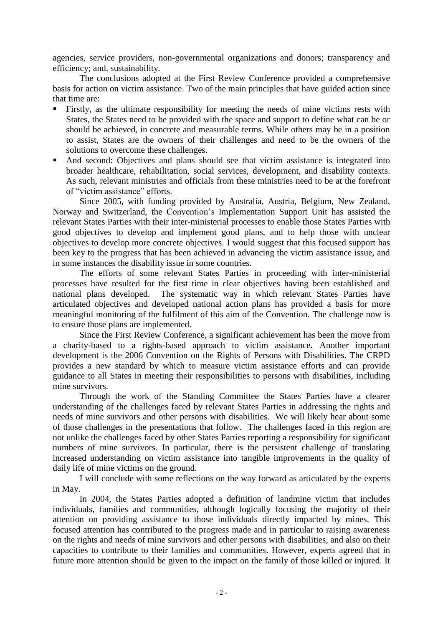agencies, service providers, non-governmental organizations and donors; transparency and efficiency; and, sustainability.

The conclusions adopted at the First Review Conference provided a comprehensive basis for action on victim assistance. Two of the main principles that have guided action since that time are:

- Firstly, as the ultimate responsibility for meeting the needs of mine victims rests with States, the States need to be provided with the space and support to define what can be or should be achieved, in concrete and measurable terms. While others may be in a position to assist, States are the owners of their challenges and need to be the owners of the solutions to overcome these challenges.
- And second: Objectives and plans should see that victim assistance is integrated into broader healthcare, rehabilitation, social services, development, and disability contexts. As such, relevant ministries and officials from these ministries need to be at the forefront of "victim assistance" efforts.

Since 2005, with funding provided by Australia, Austria, Belgium, New Zealand, Norway and Switzerland, the Convention's Implementation Support Unit has assisted the relevant States Parties with their inter-ministerial processes to enable those States Parties with good objectives to develop and implement good plans, and to help those with unclear objectives to develop more concrete objectives. I would suggest that this focused support has been key to the progress that has been achieved in advancing the victim assistance issue, and in some instances the disability issue in some countries.

The efforts of some relevant States Parties in proceeding with inter-ministerial processes have resulted for the first time in clear objectives having been established and national plans developed. The systematic way in which relevant States Parties have articulated objectives and developed national action plans has provided a basis for more meaningful monitoring of the fulfilment of this aim of the Convention. The challenge now is to ensure those plans are implemented.

Since the First Review Conference, a significant achievement has been the move from a charity-based to a rights-based approach to victim assistance. Another important development is the 2006 Convention on the Rights of Persons with Disabilities. The CRPD provides a new standard by which to measure victim assistance efforts and can provide guidance to all States in meeting their responsibilities to persons with disabilities, including mine survivors.

Through the work of the Standing Committee the States Parties have a clearer understanding of the challenges faced by relevant States Parties in addressing the rights and needs of mine survivors and other persons with disabilities. We will likely hear about some of those challenges in the presentations that follow. The challenges faced in this region are not unlike the challenges faced by other States Parties reporting a responsibility for significant numbers of mine survivors. In particular, there is the persistent challenge of translating increased understanding on victim assistance into tangible improvements in the quality of daily life of mine victims on the ground.

I will conclude with some reflections on the way forward as articulated by the experts in May.

In 2004, the States Parties adopted a definition of landmine victim that includes individuals, families and communities, although logically focusing the majority of their attention on providing assistance to those individuals directly impacted by mines. This focused attention has contributed to the progress made and in particular to raising awareness on the rights and needs of mine survivors and other persons with disabilities, and also on their capacities to contribute to their families and communities. However, experts agreed that in future more attention should be given to the impact on the family of those killed or injured. It